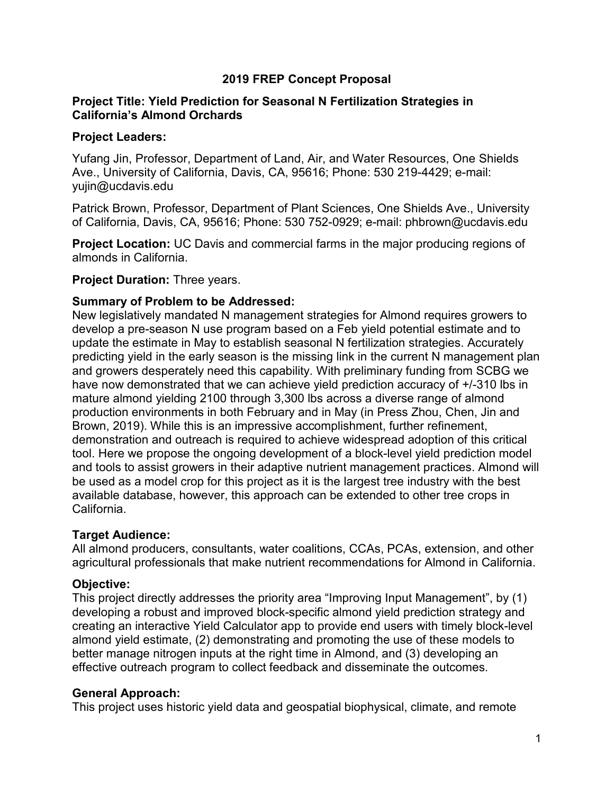# **2019 FREP Concept Proposal**

## **Project Title: Yield Prediction for Seasonal N Fertilization Strategies in California's Almond Orchards**

#### **Project Leaders:**

Yufang Jin, Professor, Department of Land, Air, and Water Resources, One Shields Ave., University of California, Davis, CA, 95616; Phone: 530 219-4429; e-mail: yujin@ucdavis.edu

Patrick Brown, Professor, Department of Plant Sciences, One Shields Ave., University of California, Davis, CA, 95616; Phone: 530 752-0929; e-mail: phbrown@ucdavis.edu

**Project Location:** UC Davis and commercial farms in the major producing regions of almonds in California.

#### **Project Duration:** Three years.

## **Summary of Problem to be Addressed:**

New legislatively mandated N management strategies for Almond requires growers to develop a pre-season N use program based on a Feb yield potential estimate and to update the estimate in May to establish seasonal N fertilization strategies. Accurately predicting yield in the early season is the missing link in the current N management plan and growers desperately need this capability. With preliminary funding from SCBG we have now demonstrated that we can achieve yield prediction accuracy of  $+/-310$  lbs in mature almond yielding 2100 through 3,300 lbs across a diverse range of almond production environments in both February and in May (in Press Zhou, Chen, Jin and Brown, 2019). While this is an impressive accomplishment, further refinement, demonstration and outreach is required to achieve widespread adoption of this critical tool. Here we propose the ongoing development of a block-level yield prediction model and tools to assist growers in their adaptive nutrient management practices. Almond will be used as a model crop for this project as it is the largest tree industry with the best available database, however, this approach can be extended to other tree crops in California.

## **Target Audience:**

All almond producers, consultants, water coalitions, CCAs, PCAs, extension, and other agricultural professionals that make nutrient recommendations for Almond in California.

## **Objective:**

This project directly addresses the priority area "Improving Input Management", by (1) developing a robust and improved block-specific almond yield prediction strategy and creating an interactive Yield Calculator app to provide end users with timely block-level almond yield estimate, (2) demonstrating and promoting the use of these models to better manage nitrogen inputs at the right time in Almond, and (3) developing an effective outreach program to collect feedback and disseminate the outcomes.

## **General Approach:**

This project uses historic yield data and geospatial biophysical, climate, and remote